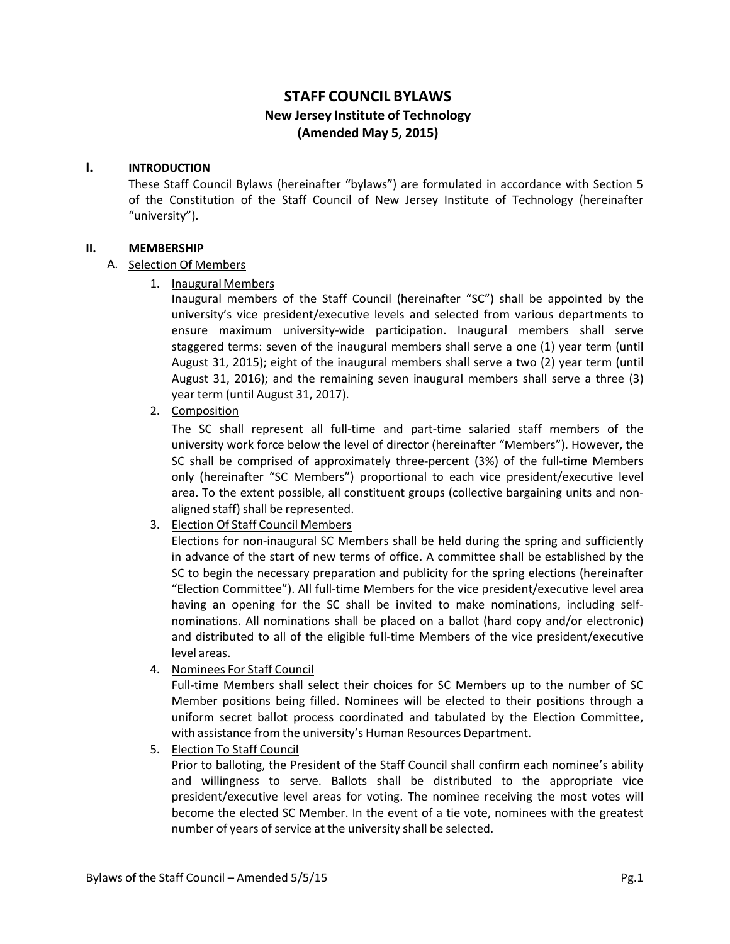# **STAFF COUNCIL BYLAWS New Jersey Institute of Technology (Amended May 5, 2015)**

#### **I. INTRODUCTION**

These Staff Council Bylaws (hereinafter "bylaws") are formulated in accordance with Section 5 of the Constitution of the Staff Council of New Jersey Institute of Technology (hereinafter "university").

#### **II. MEMBERSHIP**

#### A. Selection Of Members

1. Inaugural Members

Inaugural members of the Staff Council (hereinafter "SC") shall be appointed by the university's vice president/executive levels and selected from various departments to ensure maximum university-wide participation. Inaugural members shall serve staggered terms: seven of the inaugural members shall serve a one (1) year term (until August 31, 2015); eight of the inaugural members shall serve a two (2) year term (until August 31, 2016); and the remaining seven inaugural members shall serve a three (3) year term (until August 31, 2017).

2. Composition

The SC shall represent all full-time and part-time salaried staff members of the university work force below the level of director (hereinafter "Members"). However, the SC shall be comprised of approximately three-percent (3%) of the full-time Members only (hereinafter "SC Members") proportional to each vice president/executive level area. To the extent possible, all constituent groups (collective bargaining units and nonaligned staff) shall be represented.

3. Election Of Staff Council Members

Elections for non-inaugural SC Members shall be held during the spring and sufficiently in advance of the start of new terms of office. A committee shall be established by the SC to begin the necessary preparation and publicity for the spring elections (hereinafter "Election Committee"). All full-time Members for the vice president/executive level area having an opening for the SC shall be invited to make nominations, including selfnominations. All nominations shall be placed on a ballot (hard copy and/or electronic) and distributed to all of the eligible full-time Members of the vice president/executive level areas.

4. Nominees For Staff Council

Full-time Members shall select their choices for SC Members up to the number of SC Member positions being filled. Nominees will be elected to their positions through a uniform secret ballot process coordinated and tabulated by the Election Committee, with assistance from the university's Human Resources Department.

5. Election To Staff Council

Prior to balloting, the President of the Staff Council shall confirm each nominee's ability and willingness to serve. Ballots shall be distributed to the appropriate vice president/executive level areas for voting. The nominee receiving the most votes will become the elected SC Member. In the event of a tie vote, nominees with the greatest number of years of service at the university shall be selected.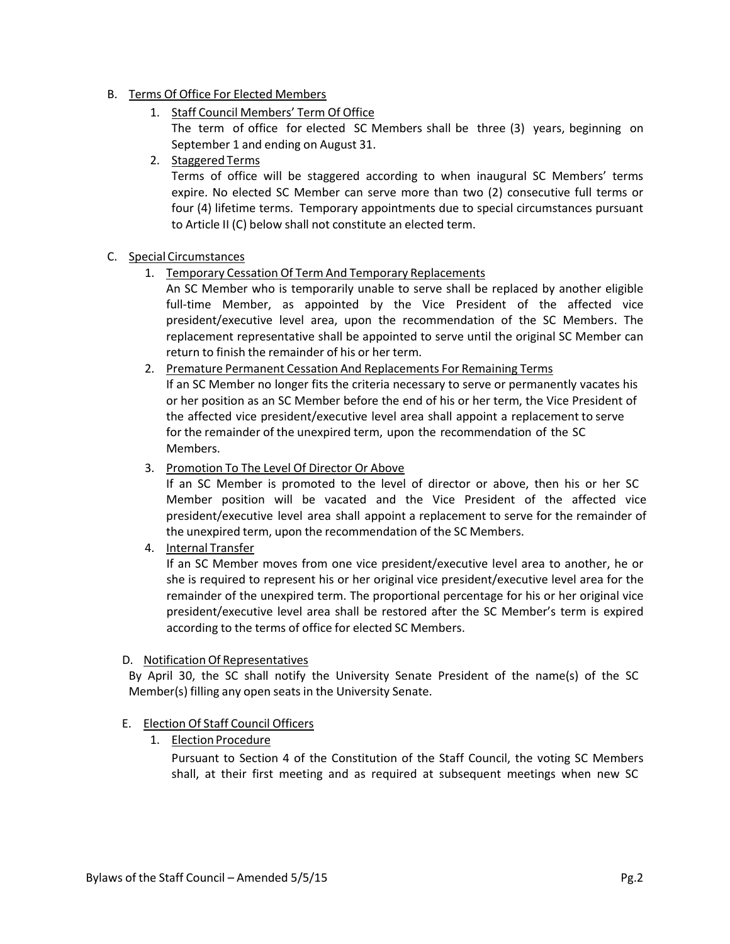### B. Terms Of Office For Elected Members

1. Staff Council Members' Term Of Office

The term of office for elected SC Members shall be three (3) years, beginning on September 1 and ending on August 31.

2. Staggered Terms

Terms of office will be staggered according to when inaugural SC Members' terms expire. No elected SC Member can serve more than two (2) consecutive full terms or four (4) lifetime terms. Temporary appointments due to special circumstances pursuant to Article II (C) below shall not constitute an elected term.

### C. Special Circumstances

1. Temporary Cessation Of Term And Temporary Replacements

An SC Member who is temporarily unable to serve shall be replaced by another eligible full-time Member, as appointed by the Vice President of the affected vice president/executive level area, upon the recommendation of the SC Members. The replacement representative shall be appointed to serve until the original SC Member can return to finish the remainder of his or her term.

- 2. Premature Permanent Cessation And Replacements For Remaining Terms If an SC Member no longer fits the criteria necessary to serve or permanently vacates his or her position as an SC Member before the end of his or her term, the Vice President of the affected vice president/executive level area shall appoint a replacement to serve for the remainder of the unexpired term, upon the recommendation of the SC Members.
- 3. Promotion To The Level Of Director Or Above

If an SC Member is promoted to the level of director or above, then his or her SC Member position will be vacated and the Vice President of the affected vice president/executive level area shall appoint a replacement to serve for the remainder of the unexpired term, upon the recommendation of the SC Members.

4. Internal Transfer

If an SC Member moves from one vice president/executive level area to another, he or she is required to represent his or her original vice president/executive level area for the remainder of the unexpired term. The proportional percentage for his or her original vice president/executive level area shall be restored after the SC Member's term is expired according to the terms of office for elected SC Members.

#### D. Notification Of Representatives

By April 30, the SC shall notify the University Senate President of the name(s) of the SC Member(s) filling any open seats in the University Senate.

# E. Election Of Staff Council Officers

1. Election Procedure

Pursuant to Section 4 of the Constitution of the Staff Council, the voting SC Members shall, at their first meeting and as required at subsequent meetings when new SC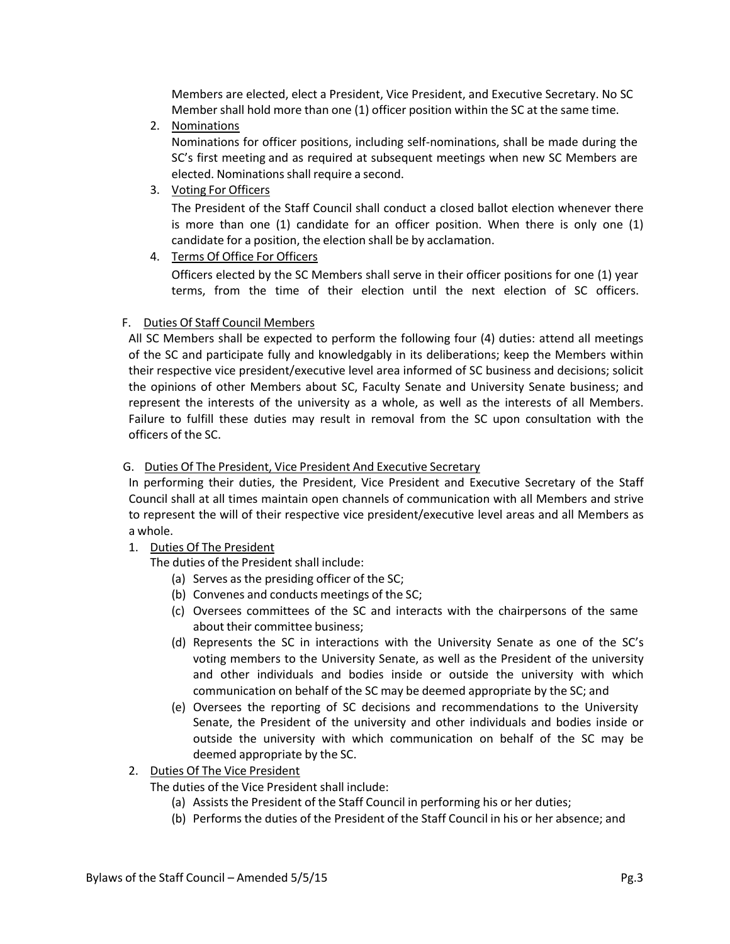Members are elected, elect a President, Vice President, and Executive Secretary. No SC Member shall hold more than one (1) officer position within the SC at the same time.

2. Nominations

Nominations for officer positions, including self-nominations, shall be made during the SC's first meeting and as required at subsequent meetings when new SC Members are elected. Nominations shall require a second.

3. Voting For Officers

The President of the Staff Council shall conduct a closed ballot election whenever there is more than one (1) candidate for an officer position. When there is only one (1) candidate for a position, the election shall be by acclamation.

4. Terms Of Office For Officers

Officers elected by the SC Members shall serve in their officer positions for one (1) year terms, from the time of their election until the next election of SC officers.

#### F. Duties Of Staff Council Members

All SC Members shall be expected to perform the following four (4) duties: attend all meetings of the SC and participate fully and knowledgably in its deliberations; keep the Members within their respective vice president/executive level area informed of SC business and decisions; solicit the opinions of other Members about SC, Faculty Senate and University Senate business; and represent the interests of the university as a whole, as well as the interests of all Members. Failure to fulfill these duties may result in removal from the SC upon consultation with the officers of the SC.

#### G. Duties Of The President, Vice President And Executive Secretary

In performing their duties, the President, Vice President and Executive Secretary of the Staff Council shall at all times maintain open channels of communication with all Members and strive to represent the will of their respective vice president/executive level areas and all Members as a whole.

1. Duties Of The President

The duties of the President shall include:

- (a) Serves as the presiding officer of the SC;
- (b) Convenes and conducts meetings of the SC;
- (c) Oversees committees of the SC and interacts with the chairpersons of the same about their committee business;
- (d) Represents the SC in interactions with the University Senate as one of the SC's voting members to the University Senate, as well as the President of the university and other individuals and bodies inside or outside the university with which communication on behalf of the SC may be deemed appropriate by the SC; and
- (e) Oversees the reporting of SC decisions and recommendations to the University Senate, the President of the university and other individuals and bodies inside or outside the university with which communication on behalf of the SC may be deemed appropriate by the SC.
- 2. Duties Of The Vice President
	- The duties of the Vice President shall include:
		- (a) Assists the President of the Staff Council in performing his or her duties;
		- (b) Performs the duties of the President of the Staff Council in his or her absence; and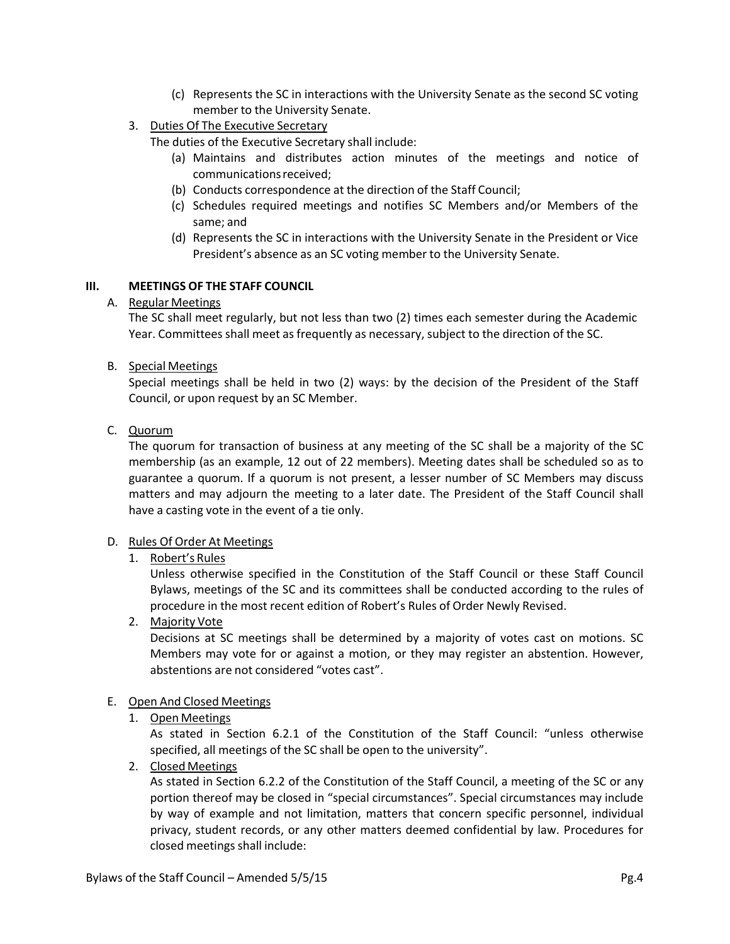- (c) Represents the SC in interactions with the University Senate as the second SC voting member to the University Senate.
- 3. Duties Of The Executive Secretary

The duties of the Executive Secretary shall include:

- (a) Maintains and distributes action minutes of the meetings and notice of communicationsreceived;
- (b) Conducts correspondence at the direction of the Staff Council;
- (c) Schedules required meetings and notifies SC Members and/or Members of the same; and
- (d) Represents the SC in interactions with the University Senate in the President or Vice President's absence as an SC voting member to the University Senate.

### **III. MEETINGS OF THE STAFF COUNCIL**

### A. Regular Meetings

The SC shall meet regularly, but not less than two (2) times each semester during the Academic Year. Committees shall meet as frequently as necessary, subject to the direction of the SC.

### B. Special Meetings

Special meetings shall be held in two (2) ways: by the decision of the President of the Staff Council, or upon request by an SC Member.

C. Quorum

The quorum for transaction of business at any meeting of the SC shall be a majority of the SC membership (as an example, 12 out of 22 members). Meeting dates shall be scheduled so as to guarantee a quorum. If a quorum is not present, a lesser number of SC Members may discuss matters and may adjourn the meeting to a later date. The President of the Staff Council shall have a casting vote in the event of a tie only.

#### D. Rules Of Order At Meetings

# 1. Robert's Rules

Unless otherwise specified in the Constitution of the Staff Council or these Staff Council Bylaws, meetings of the SC and its committees shall be conducted according to the rules of procedure in the most recent edition of Robert's Rules of Order Newly Revised.

2. Majority Vote

Decisions at SC meetings shall be determined by a majority of votes cast on motions. SC Members may vote for or against a motion, or they may register an abstention. However, abstentions are not considered "votes cast".

#### E. Open And Closed Meetings

1. Open Meetings

As stated in Section 6.2.1 of the Constitution of the Staff Council: "unless otherwise specified, all meetings of the SC shall be open to the university".

2. Closed Meetings

As stated in Section 6.2.2 of the Constitution of the Staff Council, a meeting of the SC or any portion thereof may be closed in "special circumstances". Special circumstances may include by way of example and not limitation, matters that concern specific personnel, individual privacy, student records, or any other matters deemed confidential by law. Procedures for closed meetings shall include: